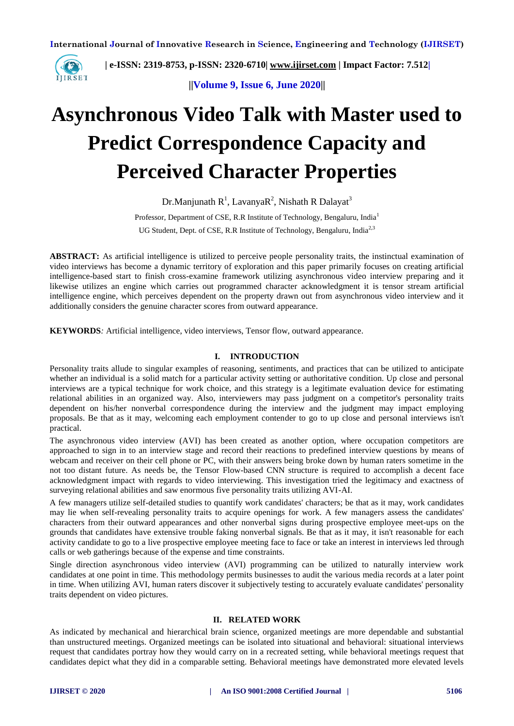

 **| e-ISSN: 2319-8753, p-ISSN: 2320-6710| [www.ijirset.com](http://www.ijirset.com/) | Impact Factor: 7.512|**

**||Volume 9, Issue 6, June 2020||** 

# **Asynchronous Video Talk with Master used to Predict Correspondence Capacity and Perceived Character Properties**

Dr.Manjunath  $R<sup>1</sup>$ , Lavanya $R<sup>2</sup>$ , Nishath R Dalayat<sup>3</sup>

Professor, Department of CSE, R.R Institute of Technology, Bengaluru, India<sup>1</sup> UG Student, Dept. of CSE, R.R Institute of Technology, Bengaluru, India<sup>2,3</sup>

**ABSTRACT:** As artificial intelligence is utilized to perceive people personality traits, the instinctual examination of video interviews has become a dynamic territory of exploration and this paper primarily focuses on creating artificial intelligence-based start to finish cross-examine framework utilizing asynchronous video interview preparing and it likewise utilizes an engine which carries out programmed character acknowledgment it is tensor stream artificial intelligence engine, which perceives dependent on the property drawn out from asynchronous video interview and it additionally considers the genuine character scores from outward appearance.

**KEYWORDS***:* Artificial intelligence, video interviews, Tensor flow, outward appearance.

## **I. INTRODUCTION**

Personality traits allude to singular examples of reasoning, sentiments, and practices that can be utilized to anticipate whether an individual is a solid match for a particular activity setting or authoritative condition. Up close and personal interviews are a typical technique for work choice, and this strategy is a legitimate evaluation device for estimating relational abilities in an organized way. Also, interviewers may pass judgment on a competitor's personality traits dependent on his/her nonverbal correspondence during the interview and the judgment may impact employing proposals. Be that as it may, welcoming each employment contender to go to up close and personal interviews isn't practical.

The asynchronous video interview (AVI) has been created as another option, where occupation competitors are approached to sign in to an interview stage and record their reactions to predefined interview questions by means of webcam and receiver on their cell phone or PC, with their answers being broke down by human raters sometime in the not too distant future. As needs be, the Tensor Flow-based CNN structure is required to accomplish a decent face acknowledgment impact with regards to video interviewing. This investigation tried the legitimacy and exactness of surveying relational abilities and saw enormous five personality traits utilizing AVI-AI.

A few managers utilize self-detailed studies to quantify work candidates' characters; be that as it may, work candidates may lie when self-revealing personality traits to acquire openings for work. A few managers assess the candidates' characters from their outward appearances and other nonverbal signs during prospective employee meet-ups on the grounds that candidates have extensive trouble faking nonverbal signals. Be that as it may, it isn't reasonable for each activity candidate to go to a live prospective employee meeting face to face or take an interest in interviews led through calls or web gatherings because of the expense and time constraints.

Single direction asynchronous video interview (AVI) programming can be utilized to naturally interview work candidates at one point in time. This methodology permits businesses to audit the various media records at a later point in time. When utilizing AVI, human raters discover it subjectively testing to accurately evaluate candidates' personality traits dependent on video pictures.

# **II. RELATED WORK**

As indicated by mechanical and hierarchical brain science, organized meetings are more dependable and substantial than unstructured meetings. Organized meetings can be isolated into situational and behavioral: situational interviews request that candidates portray how they would carry on in a recreated setting, while behavioral meetings request that candidates depict what they did in a comparable setting. Behavioral meetings have demonstrated more elevated levels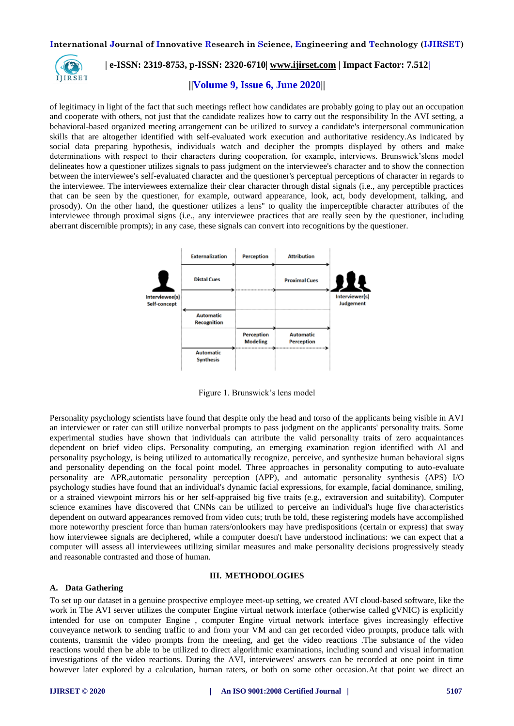

# **| e-ISSN: 2319-8753, p-ISSN: 2320-6710| [www.ijirset.com](http://www.ijirset.com/) | Impact Factor: 7.512|**

# **||Volume 9, Issue 6, June 2020||**

of legitimacy in light of the fact that such meetings reflect how candidates are probably going to play out an occupation and cooperate with others, not just that the candidate realizes how to carry out the responsibility In the AVI setting, a behavioral-based organized meeting arrangement can be utilized to survey a candidate's interpersonal communication skills that are altogether identified with self-evaluated work execution and authoritative residency.As indicated by social data preparing hypothesis, individuals watch and decipher the prompts displayed by others and make determinations with respect to their characters during cooperation, for example, interviews. Brunswick'slens model delineates how a questioner utilizes signals to pass judgment on the interviewee's character and to show the connection between the interviewee's self-evaluated character and the questioner's perceptual perceptions of character in regards to the interviewee. The interviewees externalize their clear character through distal signals (i.e., any perceptible practices that can be seen by the questioner, for example, outward appearance, look, act, body development, talking, and prosody). On the other hand, the questioner utilizes a lens'' to quality the imperceptible character attributes of the interviewee through proximal signs (i.e., any interviewee practices that are really seen by the questioner, including aberrant discernible prompts); in any case, these signals can convert into recognitions by the questioner.



Figure 1. Brunswick's lens model

Personality psychology scientists have found that despite only the head and torso of the applicants being visible in AVI an interviewer or rater can still utilize nonverbal prompts to pass judgment on the applicants' personality traits. Some experimental studies have shown that individuals can attribute the valid personality traits of zero acquaintances dependent on brief video clips. Personality computing, an emerging examination region identified with AI and personality psychology, is being utilized to automatically recognize, perceive, and synthesize human behavioral signs and personality depending on the focal point model. Three approaches in personality computing to auto-evaluate personality are APR,automatic personality perception (APP), and automatic personality synthesis (APS) I/O psychology studies have found that an individual's dynamic facial expressions, for example, facial dominance, smiling, or a strained viewpoint mirrors his or her self-appraised big five traits (e.g., extraversion and suitability). Computer science examines have discovered that CNNs can be utilized to perceive an individual's huge five characteristics dependent on outward appearances removed from video cuts; truth be told, these registering models have accomplished more noteworthy prescient force than human raters/onlookers may have predispositions (certain or express) that sway how interviewee signals are deciphered, while a computer doesn't have understood inclinations: we can expect that a computer will assess all interviewees utilizing similar measures and make personality decisions progressively steady and reasonable contrasted and those of human.

#### **III. METHODOLOGIES**

#### **A. Data Gathering**

To set up our dataset in a genuine prospective employee meet-up setting, we created AVI cloud-based software, like the work in The AVI server utilizes the computer Engine virtual network interface (otherwise called gVNIC) is explicitly intended for use on computer Engine , computer Engine virtual network interface gives increasingly effective conveyance network to sending traffic to and from your VM and can get recorded video prompts, produce talk with contents, transmit the video prompts from the meeting, and get the video reactions .The substance of the video reactions would then be able to be utilized to direct algorithmic examinations, including sound and visual information investigations of the video reactions. During the AVI, interviewees' answers can be recorded at one point in time however later explored by a calculation, human raters, or both on some other occasion.At that point we direct an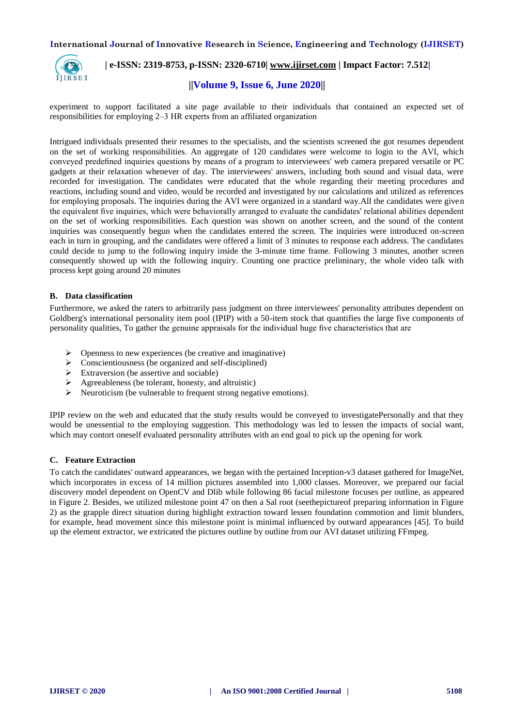

# **| e-ISSN: 2319-8753, p-ISSN: 2320-6710| [www.ijirset.com](http://www.ijirset.com/) | Impact Factor: 7.512|**

# **||Volume 9, Issue 6, June 2020||**

experiment to support facilitated a site page available to their individuals that contained an expected set of responsibilities for employing 2–3 HR experts from an affiliated organization

Intrigued individuals presented their resumes to the specialists, and the scientists screened the got resumes dependent on the set of working responsibilities. An aggregate of 120 candidates were welcome to login to the AVI, which conveyed predefined inquiries questions by means of a program to interviewees' web camera prepared versatile or PC gadgets at their relaxation whenever of day. The interviewees' answers, including both sound and visual data, were recorded for investigation. The candidates were educated that the whole regarding their meeting procedures and reactions, including sound and video, would be recorded and investigated by our calculations and utilized as references for employing proposals. The inquiries during the AVI were organized in a standard way.All the candidates were given the equivalent five inquiries, which were behaviorally arranged to evaluate the candidates' relational abilities dependent on the set of working responsibilities. Each question was shown on another screen, and the sound of the content inquiries was consequently begun when the candidates entered the screen. The inquiries were introduced on-screen each in turn in grouping, and the candidates were offered a limit of 3 minutes to response each address. The candidates could decide to jump to the following inquiry inside the 3-minute time frame. Following 3 minutes, another screen consequently showed up with the following inquiry. Counting one practice preliminary, the whole video talk with process kept going around 20 minutes

## **B. Data classification**

Furthermore, we asked the raters to arbitrarily pass judgment on three interviewees' personality attributes dependent on Goldberg's international personality item pool (IPIP) with a 50-item stock that quantifies the large five components of personality qualities, To gather the genuine appraisals for the individual huge five characteristics that are

- Openness to new experiences (be creative and imaginative)
- $\triangleright$  Conscientiousness (be organized and self-disciplined)<br> $\triangleright$  Extraversion (be assertive and sociable)
- Extraversion (be assertive and sociable)
- $\triangleright$  Agreeableness (be tolerant, honesty, and altruistic)
- $\triangleright$  Neuroticism (be vulnerable to frequent strong negative emotions).

IPIP review on the web and educated that the study results would be conveyed to investigatePersonally and that they would be unessential to the employing suggestion. This methodology was led to lessen the impacts of social want, which may contort oneself evaluated personality attributes with an end goal to pick up the opening for work

# **C. Feature Extraction**

To catch the candidates' outward appearances, we began with the pertained Inception-v3 dataset gathered for ImageNet, which incorporates in excess of 14 million pictures assembled into 1,000 classes. Moreover, we prepared our facial discovery model dependent on OpenCV and Dlib while following 86 facial milestone focuses per outline, as appeared in Figure 2. Besides, we utilized milestone point 47 on then a Sal root (seethepictureof preparing information in Figure 2) as the grapple direct situation during highlight extraction toward lessen foundation commotion and limit blunders, for example, head movement since this milestone point is minimal influenced by outward appearances [45]. To build up the element extractor, we extricated the pictures outline by outline from our AVI dataset utilizing FFmpeg.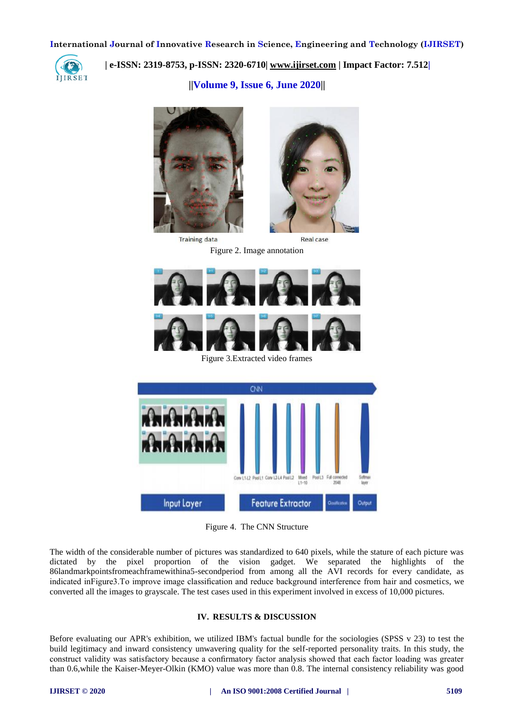

 **| e-ISSN: 2319-8753, p-ISSN: 2320-6710| [www.ijirset.com](http://www.ijirset.com/) | Impact Factor: 7.512|**

**||Volume 9, Issue 6, June 2020||** 



**Training data** 



Real case

Figure 2. Image annotation



Figure 3.Extracted video frames



Figure 4. The CNN Structure

The width of the considerable number of pictures was standardized to 640 pixels, while the stature of each picture was dictated by the pixel proportion of the vision gadget. We separated the highlights of the 86landmarkpointsfromeachframewithina5-secondperiod from among all the AVI records for every candidate, as indicated inFigure3.To improve image classification and reduce background interference from hair and cosmetics, we converted all the images to grayscale. The test cases used in this experiment involved in excess of 10,000 pictures.

# **IV. RESULTS & DISCUSSION**

Before evaluating our APR's exhibition, we utilized IBM's factual bundle for the sociologies (SPSS v 23) to test the build legitimacy and inward consistency unwavering quality for the self-reported personality traits. In this study, the construct validity was satisfactory because a confirmatory factor analysis showed that each factor loading was greater than 0.6,while the Kaiser-Meyer-Olkin (KMO) value was more than 0.8. The internal consistency reliability was good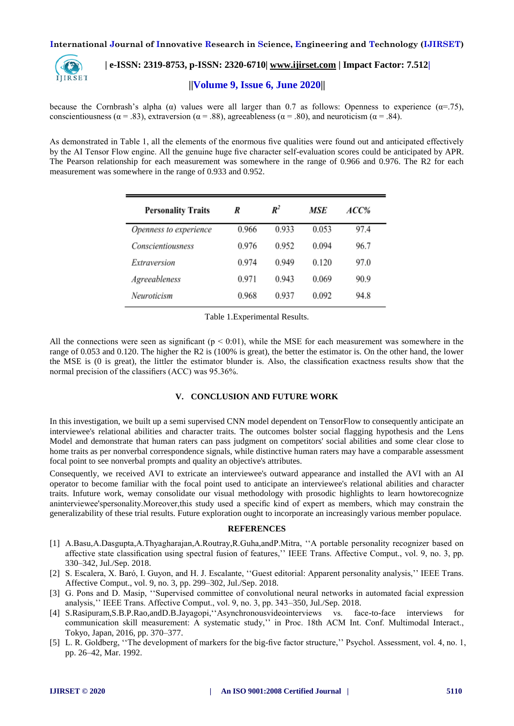

# **| e-ISSN: 2319-8753, p-ISSN: 2320-6710| [www.ijirset.com](http://www.ijirset.com/) | Impact Factor: 7.512|**

**||Volume 9, Issue 6, June 2020||** 

because the Cornbrash's alpha ( $\alpha$ ) values were all larger than 0.7 as follows: Openness to experience ( $\alpha$ =.75), conscientiousness ( $\alpha = .83$ ), extraversion ( $\alpha = .88$ ), agreeableness ( $\alpha = .80$ ), and neuroticism ( $\alpha = .84$ ).

As demonstrated in Table 1, all the elements of the enormous five qualities were found out and anticipated effectively by the AI Tensor Flow engine. All the genuine huge five character self-evaluation scores could be anticipated by APR. The Pearson relationship for each measurement was somewhere in the range of 0.966 and 0.976. The R2 for each measurement was somewhere in the range of 0.933 and 0.952.

| <b>Personality Traits</b> | R     | $\boldsymbol{R}^2$ | MSE   | ACC% |
|---------------------------|-------|--------------------|-------|------|
| Openness to experience    | 0.966 | 0.933              | 0.053 | 97.4 |
| <b>Conscientiousness</b>  | 0.976 | 0.952              | 0.094 | 96.7 |
| Extraversion              | 0.974 | 0.949              | 0.120 | 97.0 |
| Agreeableness             | 0.971 | 0.943              | 0.069 | 90.9 |
| Neuroticism               | 0.968 | 0.937              | 0.092 | 94.8 |

Table 1.Experimental Results.

All the connections were seen as significant ( $p < 0.01$ ), while the MSE for each measurement was somewhere in the range of 0.053 and 0.120. The higher the R2 is (100% is great), the better the estimator is. On the other hand, the lower the MSE is (0 is great), the littler the estimator blunder is. Also, the classification exactness results show that the normal precision of the classifiers (ACC) was 95.36%.

# **V. CONCLUSION AND FUTURE WORK**

In this investigation, we built up a semi supervised CNN model dependent on TensorFlow to consequently anticipate an interviewee's relational abilities and character traits. The outcomes bolster social flagging hypothesis and the Lens Model and demonstrate that human raters can pass judgment on competitors' social abilities and some clear close to home traits as per nonverbal correspondence signals, while distinctive human raters may have a comparable assessment focal point to see nonverbal prompts and quality an objective's attributes.

Consequently, we received AVI to extricate an interviewee's outward appearance and installed the AVI with an AI operator to become familiar with the focal point used to anticipate an interviewee's relational abilities and character traits. Infuture work, wemay consolidate our visual methodology with prosodic highlights to learn howtorecognize aninterviewee'spersonality.Moreover,this study used a specific kind of expert as members, which may constrain the generalizability of these trial results. Future exploration ought to incorporate an increasingly various member populace.

## **REFERENCES**

- [1] A.Basu,A.Dasgupta,A.Thyagharajan,A.Routray,R.Guha,andP.Mitra, ''A portable personality recognizer based on affective state classification using spectral fusion of features,'' IEEE Trans. Affective Comput., vol. 9, no. 3, pp. 330–342, Jul./Sep. 2018.
- [2] S. Escalera, X. Baró, I. Guyon, and H. J. Escalante, ''Guest editorial: Apparent personality analysis,'' IEEE Trans. Affective Comput., vol. 9, no. 3, pp. 299–302, Jul./Sep. 2018.
- [3] G. Pons and D. Masip, ''Supervised committee of convolutional neural networks in automated facial expression analysis,'' IEEE Trans. Affective Comput., vol. 9, no. 3, pp. 343–350, Jul./Sep. 2018.
- [4] S.Rasipuram,S.B.P.Rao,andD.B.Jayagopi,''Asynchronousvideointerviews vs. face-to-face interviews for communication skill measurement: A systematic study,'' in Proc. 18th ACM Int. Conf. Multimodal Interact., Tokyo, Japan, 2016, pp. 370–377.
- [5] L. R. Goldberg, ''The development of markers for the big-five factor structure,'' Psychol. Assessment, vol. 4, no. 1, pp. 26–42, Mar. 1992.